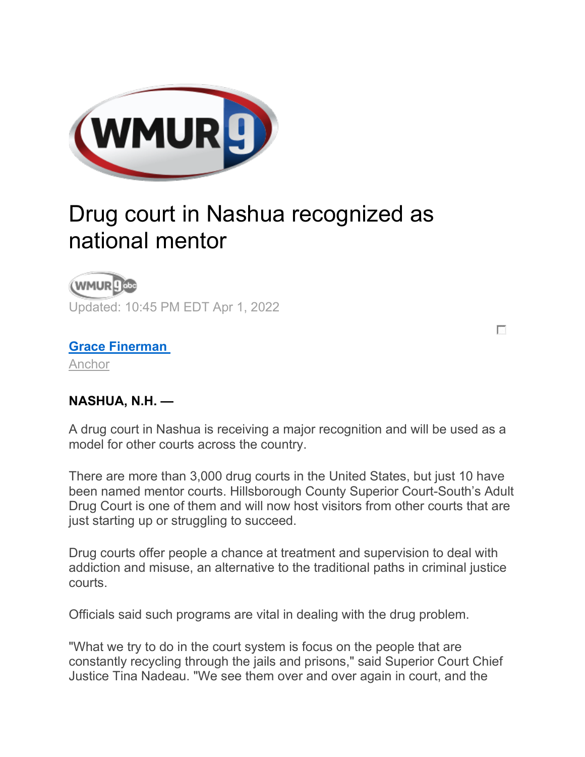

## Drug court in Nashua recognized as national mentor



Updated: 10:45 PM EDT Apr 1, 2022

## **[Grace Finerman](https://www.wmur.com/news-team/f09f0618-23ea-41fc-990a-f4243dc5dde2)**

[Anchor](https://www.wmur.com/news-team/f09f0618-23ea-41fc-990a-f4243dc5dde2)

## **NASHUA, N.H. —**

A drug court in Nashua is receiving a major recognition and will be used as a model for other courts across the country.

П

There are more than 3,000 drug courts in the United States, but just 10 have been named mentor courts. Hillsborough County Superior Court-South's Adult Drug Court is one of them and will now host visitors from other courts that are just starting up or struggling to succeed.

Drug courts offer people a chance at treatment and supervision to deal with addiction and misuse, an alternative to the traditional paths in criminal justice courts.

Officials said such programs are vital in dealing with the drug problem.

"What we try to do in the court system is focus on the people that are constantly recycling through the jails and prisons," said Superior Court Chief Justice Tina Nadeau. "We see them over and over again in court, and the